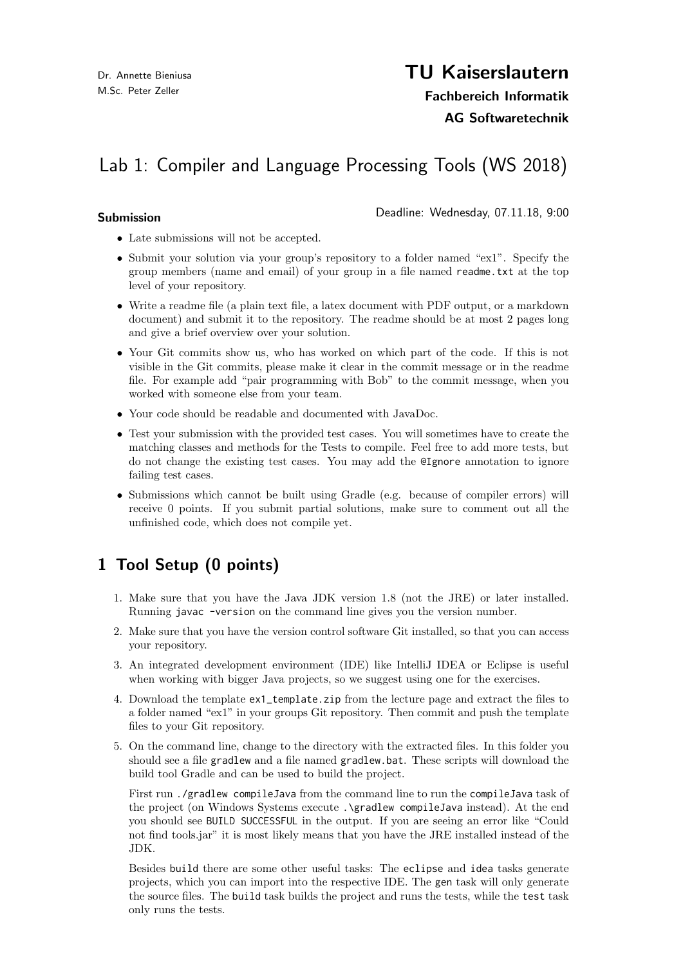# TU Kaiserslautern

Fachbereich Informatik

### AG Softwaretechnik

# Lab 1: Compiler and Language Processing Tools (WS 2018)

Submission **Submission Submission Submission Submission Submission Submission** 

- Late submissions will not be accepted.
- Submit your solution via your group's repository to a folder named "ex1". Specify the group members (name and email) of your group in a file named readme.txt at the top level of your repository.
- Write a readme file (a plain text file, a latex document with PDF output, or a markdown document) and submit it to the repository. The readme should be at most 2 pages long and give a brief overview over your solution.
- Your Git commits show us, who has worked on which part of the code. If this is not visible in the Git commits, please make it clear in the commit message or in the readme file. For example add "pair programming with Bob" to the commit message, when you worked with someone else from your team.
- Your code should be readable and documented with JavaDoc.
- Test your submission with the provided test cases. You will sometimes have to create the matching classes and methods for the Tests to compile. Feel free to add more tests, but do not change the existing test cases. You may add the @Ignore annotation to ignore failing test cases.
- Submissions which cannot be built using Gradle (e.g. because of compiler errors) will receive 0 points. If you submit partial solutions, make sure to comment out all the unfinished code, which does not compile yet.

## 1 Tool Setup (0 points)

- 1. Make sure that you have the Java JDK version 1.8 (not the JRE) or later installed. Running javac -version on the command line gives you the version number.
- 2. Make sure that you have the version control software Git installed, so that you can access your repository.
- 3. An integrated development environment (IDE) like IntelliJ IDEA or Eclipse is useful when working with bigger Java projects, so we suggest using one for the exercises.
- 4. Download the template ex1\_template.zip from the lecture page and extract the files to a folder named "ex1" in your groups Git repository. Then commit and push the template files to your Git repository.
- 5. On the command line, change to the directory with the extracted files. In this folder you should see a file gradlew and a file named gradlew.bat. These scripts will download the build tool Gradle and can be used to build the project.

First run ./gradlew compileJava from the command line to run the compileJava task of the project (on Windows Systems execute .\gradlew compileJava instead). At the end you should see BUILD SUCCESSFUL in the output. If you are seeing an error like "Could not find tools.jar" it is most likely means that you have the JRE installed instead of the JDK.

Besides build there are some other useful tasks: The eclipse and idea tasks generate projects, which you can import into the respective IDE. The gen task will only generate the source files. The build task builds the project and runs the tests, while the test task only runs the tests.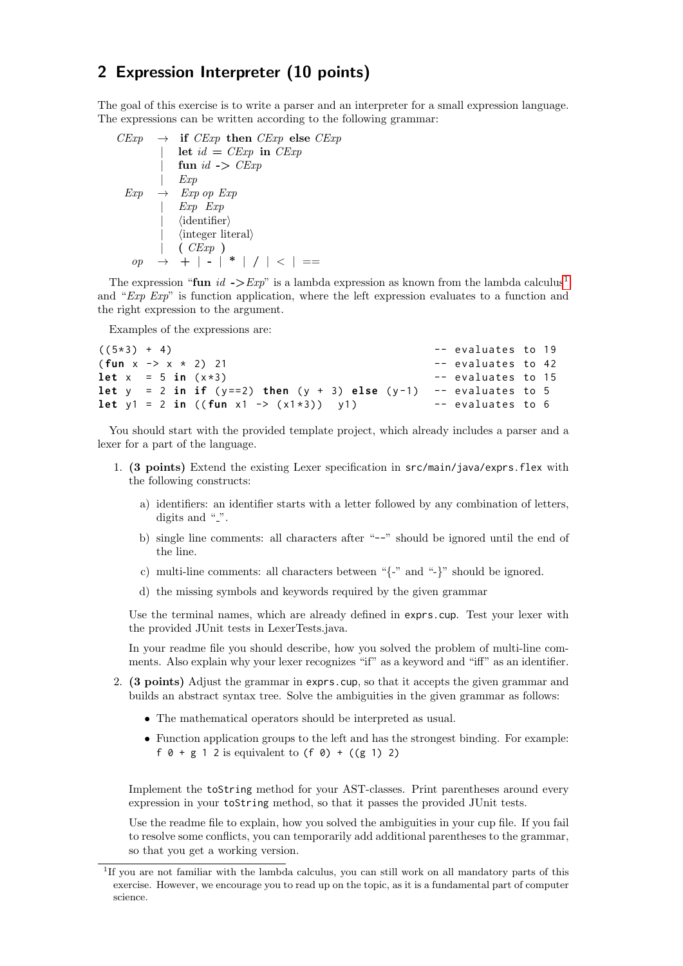### 2 Expression Interpreter (10 points)

The goal of this exercise is to write a parser and an interpreter for a small expression language. The expressions can be written according to the following grammar:

 $CExp \rightarrow$  if  $CExp$  then  $CExp$  else  $CExp$ | let  $id = CExp$  in  $CExp$ | fun  $id$  ->  $CExp$ | Exp  $Exp \rightarrow Exp op Exp$ | Exp Exp |  $\langle$ identifier $\rangle$  $\langle$  integer literal $\rangle$ | ( CExp )  $op \rightarrow + | - | * | / | < | ==$ 

The expression "fun id  $\rightarrow$ Exp" is a lambda expression as known from the lambda calculus<sup>[1](#page-1-0)</sup> and " $Exp Exp$ " is function application, where the left expression evaluates to a function and the right expression to the argument.

Examples of the expressions are:

```
((5*)^3 + 4) --evaluates to 19
(fun x -> x * 2) 21 -- evaluates to 42
let x = 5 in (x * 3) -- evaluates to 15
let y = 2 in if (y == 2) then (y + 3) else (y - 1) -- evaluates to 5
let y1 = 2 in ((fun x1 \rightarrow (x1 \times 3)) y1 ) -- evaluates to 6
```
You should start with the provided template project, which already includes a parser and a lexer for a part of the language.

- 1. (3 points) Extend the existing Lexer specification in src/main/java/exprs.flex with the following constructs:
	- a) identifiers: an identifier starts with a letter followed by any combination of letters, digits and " $\cdot$ ".
	- b) single line comments: all characters after "--" should be ignored until the end of the line.
	- c) multi-line comments: all characters between "{-" and "-}" should be ignored.
	- d) the missing symbols and keywords required by the given grammar

Use the terminal names, which are already defined in exprs.cup. Test your lexer with the provided JUnit tests in LexerTests.java.

In your readme file you should describe, how you solved the problem of multi-line comments. Also explain why your lexer recognizes "if" as a keyword and "iff" as an identifier.

- 2. (3 points) Adjust the grammar in exprs.cup, so that it accepts the given grammar and builds an abstract syntax tree. Solve the ambiguities in the given grammar as follows:
	- The mathematical operators should be interpreted as usual.
	- Function application groups to the left and has the strongest binding. For example: f  $0 + g 1 2$  is equivalent to  $(f 0) + ((g 1) 2)$

Implement the toString method for your AST-classes. Print parentheses around every expression in your toString method, so that it passes the provided JUnit tests.

Use the readme file to explain, how you solved the ambiguities in your cup file. If you fail to resolve some conflicts, you can temporarily add additional parentheses to the grammar, so that you get a working version.

<span id="page-1-0"></span><sup>&</sup>lt;sup>1</sup>If you are not familiar with the lambda calculus, you can still work on all mandatory parts of this exercise. However, we encourage you to read up on the topic, as it is a fundamental part of computer science.